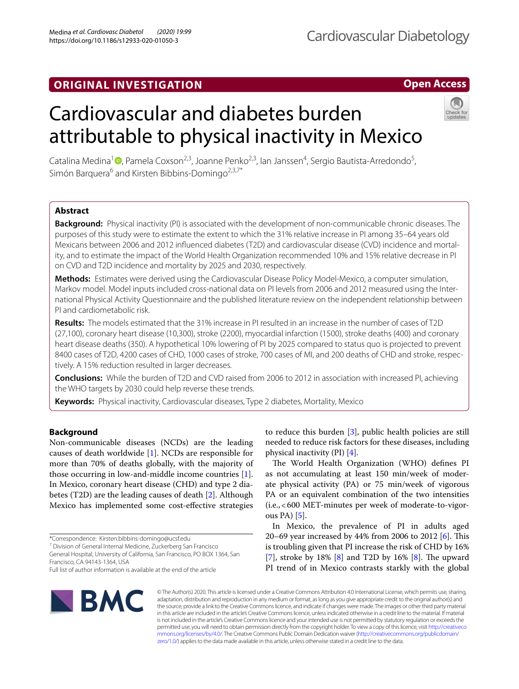# **ORIGINAL INVESTIGATION**

# **Open Access**

# Cardiovascular and diabetes burden attributable to physical inactivity in Mexico



Catalina Medina<sup>1</sup><sup>®</sup>[,](http://orcid.org/0000-0002-0538-0650) Pamela Coxson<sup>2,3</sup>, Joanne Penko<sup>2,3</sup>, Ian Janssen<sup>4</sup>, Sergio Bautista-Arredondo<sup>5</sup>, Simón Barquera<sup>6</sup> and Kirsten Bibbins-Domingo<sup>2,3,7\*</sup>

# **Abstract**

**Background:** Physical inactivity (PI) is associated with the development of non-communicable chronic diseases. The purposes of this study were to estimate the extent to which the 31% relative increase in PI among 35–64 years old Mexicans between 2006 and 2012 infuenced diabetes (T2D) and cardiovascular disease (CVD) incidence and mortal‑ ity, and to estimate the impact of the World Health Organization recommended 10% and 15% relative decrease in PI on CVD and T2D incidence and mortality by 2025 and 2030, respectively.

**Methods:** Estimates were derived using the Cardiovascular Disease Policy Model-Mexico, a computer simulation, Markov model. Model inputs included cross-national data on PI levels from 2006 and 2012 measured using the International Physical Activity Questionnaire and the published literature review on the independent relationship between PI and cardiometabolic risk.

**Results:** The models estimated that the 31% increase in PI resulted in an increase in the number of cases of T2D (27,100), coronary heart disease (10,300), stroke (2200), myocardial infarction (1500), stroke deaths (400) and coronary heart disease deaths (350). A hypothetical 10% lowering of PI by 2025 compared to status quo is projected to prevent 8400 cases of T2D, 4200 cases of CHD, 1000 cases of stroke, 700 cases of MI, and 200 deaths of CHD and stroke, respec‑ tively. A 15% reduction resulted in larger decreases.

**Conclusions:** While the burden of T2D and CVD raised from 2006 to 2012 in association with increased PI, achieving the WHO targets by 2030 could help reverse these trends.

**Keywords:** Physical inactivity, Cardiovascular diseases, Type 2 diabetes, Mortality, Mexico

# **Background**

Non-communicable diseases (NCDs) are the leading causes of death worldwide [[1\]](#page-7-0). NCDs are responsible for more than 70% of deaths globally, with the majority of those occurring in low-and-middle income countries [\[1](#page-7-0)]. In Mexico, coronary heart disease (CHD) and type 2 diabetes (T2D) are the leading causes of death [[2\]](#page-7-1). Although Mexico has implemented some cost-efective strategies

7 Division of General Internal Medicine, Zuckerberg San Francisco General Hospital, University of California, San Francisco, PO BOX 1364, San

Francisco, CA 94143‑1364, USA Full list of author information is available at the end of the article to reduce this burden [[3\]](#page-7-2), public health policies are still needed to reduce risk factors for these diseases, including physical inactivity (PI) [\[4](#page-7-3)].

The World Health Organization (WHO) defines PI as not accumulating at least 150 min/week of moderate physical activity (PA) or 75 min/week of vigorous PA or an equivalent combination of the two intensities (i.e.,<600 MET-minutes per week of moderate-to-vigorous PA) [[5\]](#page-7-4).

In Mexico, the prevalence of PI in adults aged 20–69 year increased by 44% from 2006 to 2012 [\[6](#page-7-5)]. This is troubling given that PI increase the risk of CHD by 16% [[7\]](#page-7-6), stroke by 1[8](#page-7-7)% [\[8\]](#page-7-7) and T2D by 16% [8]. The upward PI trend of in Mexico contrasts starkly with the global



© The Author(s) 2020. This article is licensed under a Creative Commons Attribution 4.0 International License, which permits use, sharing, adaptation, distribution and reproduction in any medium or format, as long as you give appropriate credit to the original author(s) and the source, provide a link to the Creative Commons licence, and indicate if changes were made. The images or other third party material in this article are included in the article's Creative Commons licence, unless indicated otherwise in a credit line to the material. If material is not included in the article's Creative Commons licence and your intended use is not permitted by statutory regulation or exceeds the permitted use, you will need to obtain permission directly from the copyright holder. To view a copy of this licence, visit [http://creativeco](http://creativecommons.org/licenses/by/4.0/) [mmons.org/licenses/by/4.0/.](http://creativecommons.org/licenses/by/4.0/) The Creative Commons Public Domain Dedication waiver ([http://creativecommons.org/publicdomain/](http://creativecommons.org/publicdomain/zero/1.0/) [zero/1.0/\)](http://creativecommons.org/publicdomain/zero/1.0/) applies to the data made available in this article, unless otherwise stated in a credit line to the data.

<sup>\*</sup>Correspondence: Kirsten.bibbins‑domingo@ucsf.edu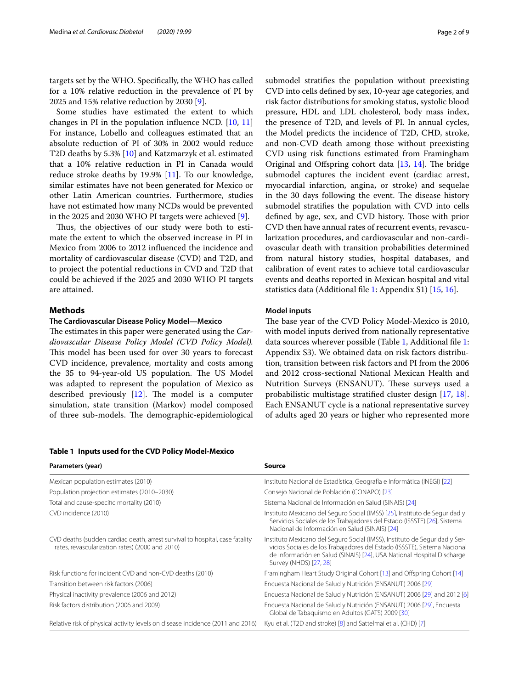targets set by the WHO. Specifcally, the WHO has called for a 10% relative reduction in the prevalence of PI by 2025 and 15% relative reduction by 2030 [[9\]](#page-7-8).

Some studies have estimated the extent to which changes in PI in the population infuence NCD. [\[10](#page-7-9), [11](#page-7-10)] For instance, Lobello and colleagues estimated that an absolute reduction of PI of 30% in 2002 would reduce T2D deaths by 5.3% [[10\]](#page-7-9) and Katzmarzyk et al. estimated that a 10% relative reduction in PI in Canada would reduce stroke deaths by 19.9% [\[11](#page-7-10)]. To our knowledge, similar estimates have not been generated for Mexico or other Latin American countries. Furthermore, studies have not estimated how many NCDs would be prevented in the 2025 and 2030 WHO PI targets were achieved [\[9](#page-7-8)].

Thus, the objectives of our study were both to estimate the extent to which the observed increase in PI in Mexico from 2006 to 2012 infuenced the incidence and mortality of cardiovascular disease (CVD) and T2D, and to project the potential reductions in CVD and T2D that could be achieved if the 2025 and 2030 WHO PI targets are attained.

# **Methods**

# **The Cardiovascular Disease Policy Model—Mexico**

The estimates in this paper were generated using the *Cardiovascular Disease Policy Model (CVD Policy Model).* This model has been used for over 30 years to forecast CVD incidence, prevalence, mortality and costs among the 35 to 94-year-old US population. The US Model was adapted to represent the population of Mexico as described previously  $[12]$  $[12]$ . The model is a computer simulation, state transition (Markov) model composed of three sub-models. The demographic-epidemiological

submodel stratifes the population without preexisting CVD into cells defned by sex, 10-year age categories, and risk factor distributions for smoking status, systolic blood pressure, HDL and LDL cholesterol, body mass index, the presence of T2D, and levels of PI. In annual cycles, the Model predicts the incidence of T2D, CHD, stroke, and non-CVD death among those without preexisting CVD using risk functions estimated from Framingham Original and Offspring cohort data [\[13,](#page-7-12) [14\]](#page-7-13). The bridge submodel captures the incident event (cardiac arrest, myocardial infarction, angina, or stroke) and sequelae in the 30 days following the event. The disease history submodel stratifes the population with CVD into cells defined by age, sex, and CVD history. Those with prior CVD then have annual rates of recurrent events, revascularization procedures, and cardiovascular and non-cardiovascular death with transition probabilities determined from natural history studies, hospital databases, and calibration of event rates to achieve total cardiovascular events and deaths reported in Mexican hospital and vital statistics data (Additional fle [1:](#page-6-0) Appendix S1) [\[15](#page-7-14), [16\]](#page-7-15).

# **Model inputs**

The base year of the CVD Policy Model-Mexico is 2010, with model inputs derived from nationally representative data sources wherever possible (Table [1](#page-1-0), Additional fle [1](#page-6-0): Appendix S3). We obtained data on risk factors distribution, transition between risk factors and PI from the 2006 and 2012 cross-sectional National Mexican Health and Nutrition Surveys (ENSANUT). These surveys used a probabilistic multistage stratifed cluster design [\[17,](#page-7-16) [18](#page-7-17)]. Each ENSANUT cycle is a national representative survey of adults aged 20 years or higher who represented more

# <span id="page-1-0"></span>**Table 1 Inputs used for the CVD Policy Model-Mexico**

| Parameters (year)                                                                                                               | <b>Source</b>                                                                                                                                                                                                                                               |  |  |  |  |
|---------------------------------------------------------------------------------------------------------------------------------|-------------------------------------------------------------------------------------------------------------------------------------------------------------------------------------------------------------------------------------------------------------|--|--|--|--|
| Mexican population estimates (2010)                                                                                             | Instituto Nacional de Estadística, Geografía e Informática (INEGI) [22]                                                                                                                                                                                     |  |  |  |  |
| Population projection estimates (2010-2030)                                                                                     | Consejo Nacional de Población (CONAPO) [23]                                                                                                                                                                                                                 |  |  |  |  |
| Total and cause-specific mortality (2010)                                                                                       | Sistema Nacional de Información en Salud (SINAIS) [24]                                                                                                                                                                                                      |  |  |  |  |
| CVD incidence (2010)                                                                                                            | Instituto Mexicano del Seguro Social (IMSS) [25], Instituto de Seguridad y<br>Servicios Sociales de los Trabajadores del Estado (ISSSTE) [26], Sistema<br>Nacional de Información en Salud (SINAIS) [24]                                                    |  |  |  |  |
| CVD deaths (sudden cardiac death, arrest survival to hospital, case fatality<br>rates, revascularization rates) (2000 and 2010) | Instituto Mexicano del Seguro Social (IMSS), Instituto de Seguridad y Ser-<br>vicios Sociales de los Trabajadores del Estado (ISSSTE), Sistema Nacional<br>de Información en Salud (SINAIS) [24], USA National Hospital Discharge<br>Survey (NHDS) [27, 28] |  |  |  |  |
| Risk functions for incident CVD and non-CVD deaths (2010)                                                                       | Framingham Heart Study Original Cohort [13] and Offspring Cohort [14]                                                                                                                                                                                       |  |  |  |  |
| Transition between risk factors (2006)                                                                                          | Encuesta Nacional de Salud y Nutrición (ENSANUT) 2006 [29]                                                                                                                                                                                                  |  |  |  |  |
| Physical inactivity prevalence (2006 and 2012)                                                                                  | Encuesta Nacional de Salud y Nutrición (ENSANUT) 2006 [29] and 2012 [6]                                                                                                                                                                                     |  |  |  |  |
| Risk factors distribution (2006 and 2009)                                                                                       | Encuesta Nacional de Salud y Nutrición (ENSANUT) 2006 [29], Encuesta<br>Global de Tabaquismo en Adultos (GATS) 2009 [30]                                                                                                                                    |  |  |  |  |
| Relative risk of physical activity levels on disease incidence (2011 and 2016)                                                  | Kyu et al. (T2D and stroke) [8] and Sattelmai et al. (CHD) [7]                                                                                                                                                                                              |  |  |  |  |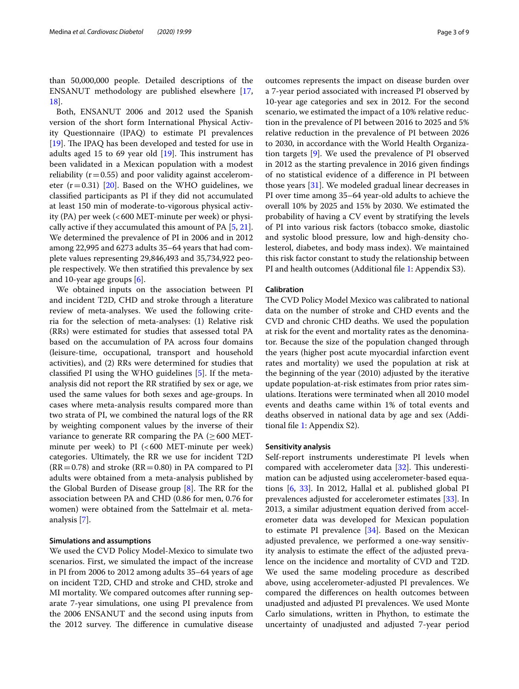than 50,000,000 people. Detailed descriptions of the ENSANUT methodology are published elsewhere [\[17](#page-7-16), [18\]](#page-7-17).

Both, ENSANUT 2006 and 2012 used the Spanish version of the short form International Physical Activity Questionnaire (IPAQ) to estimate PI prevalences [[19\]](#page-7-27). The IPAQ has been developed and tested for use in adults aged 15 to 69 year old  $[19]$  $[19]$ . This instrument has been validated in a Mexican population with a modest reliability ( $r=0.55$ ) and poor validity against accelerometer  $(r=0.31)$  [\[20](#page-7-28)]. Based on the WHO guidelines, we classifed participants as PI if they did not accumulated at least 150 min of moderate-to-vigorous physical activity (PA) per week  $\left( < 600 \text{ MET-minute per week} \right)$  or physically active if they accumulated this amount of PA [[5,](#page-7-4) [21](#page-7-29)]. We determined the prevalence of PI in 2006 and in 2012 among 22,995 and 6273 adults 35–64 years that had complete values representing 29,846,493 and 35,734,922 people respectively. We then stratifed this prevalence by sex and 10-year age groups [[6\]](#page-7-5).

We obtained inputs on the association between PI and incident T2D, CHD and stroke through a literature review of meta-analyses. We used the following criteria for the selection of meta-analyses: (1) Relative risk (RRs) were estimated for studies that assessed total PA based on the accumulation of PA across four domains (leisure-time, occupational, transport and household activities), and (2) RRs were determined for studies that classifed PI using the WHO guidelines [\[5\]](#page-7-4). If the metaanalysis did not report the RR stratifed by sex or age, we used the same values for both sexes and age-groups. In cases where meta-analysis results compared more than two strata of PI, we combined the natural logs of the RR by weighting component values by the inverse of their variance to generate RR comparing the PA ( $\geq$  600 METminute per week) to  $PI$  (<600 MET-minute per week) categories. Ultimately, the RR we use for incident T2D  $(RR=0.78)$  and stroke  $(RR=0.80)$  in PA compared to PI adults were obtained from a meta-analysis published by the Global Burden of Disease group  $[8]$  $[8]$ . The RR for the association between PA and CHD (0.86 for men, 0.76 for women) were obtained from the Sattelmair et al. metaanalysis [[7\]](#page-7-6).

# **Simulations and assumptions**

We used the CVD Policy Model-Mexico to simulate two scenarios. First, we simulated the impact of the increase in PI from 2006 to 2012 among adults 35–64 years of age on incident T2D, CHD and stroke and CHD, stroke and MI mortality. We compared outcomes after running separate 7-year simulations, one using PI prevalence from the 2006 ENSANUT and the second using inputs from the 2012 survey. The difference in cumulative disease

outcomes represents the impact on disease burden over a 7-year period associated with increased PI observed by 10-year age categories and sex in 2012. For the second scenario, we estimated the impact of a 10% relative reduction in the prevalence of PI between 2016 to 2025 and 5% relative reduction in the prevalence of PI between 2026 to 2030, in accordance with the World Health Organization targets [\[9](#page-7-8)]. We used the prevalence of PI observed in 2012 as the starting prevalence in 2016 given fndings of no statistical evidence of a diference in PI between those years [\[31](#page-7-30)]. We modeled gradual linear decreases in PI over time among 35–64 year-old adults to achieve the overall 10% by 2025 and 15% by 2030. We estimated the probability of having a CV event by stratifying the levels of PI into various risk factors (tobacco smoke, diastolic and systolic blood pressure, low and high-density cholesterol, diabetes, and body mass index). We maintained this risk factor constant to study the relationship between PI and health outcomes (Additional fle [1:](#page-6-0) Appendix S3).

# **Calibration**

The CVD Policy Model Mexico was calibrated to national data on the number of stroke and CHD events and the CVD and chronic CHD deaths. We used the population at risk for the event and mortality rates as the denominator. Because the size of the population changed through the years (higher post acute myocardial infarction event rates and mortality) we used the population at risk at the beginning of the year (2010) adjusted by the iterative update population-at-risk estimates from prior rates simulations. Iterations were terminated when all 2010 model events and deaths came within 1% of total events and deaths observed in national data by age and sex (Additional fle [1](#page-6-0): Appendix S2).

# **Sensitivity analysis**

Self-report instruments underestimate PI levels when compared with accelerometer data  $[32]$  $[32]$  $[32]$ . This underestimation can be adjusted using accelerometer-based equations [\[6](#page-7-5), [33\]](#page-7-32). In 2012, Hallal et al. published global PI prevalences adjusted for accelerometer estimates [[33\]](#page-7-32). In 2013, a similar adjustment equation derived from accelerometer data was developed for Mexican population to estimate PI prevalence [[34\]](#page-8-0). Based on the Mexican adjusted prevalence, we performed a one-way sensitivity analysis to estimate the efect of the adjusted prevalence on the incidence and mortality of CVD and T2D. We used the same modeling procedure as described above, using accelerometer-adjusted PI prevalences. We compared the diferences on health outcomes between unadjusted and adjusted PI prevalences. We used Monte Carlo simulations, written in Phython, to estimate the uncertainty of unadjusted and adjusted 7-year period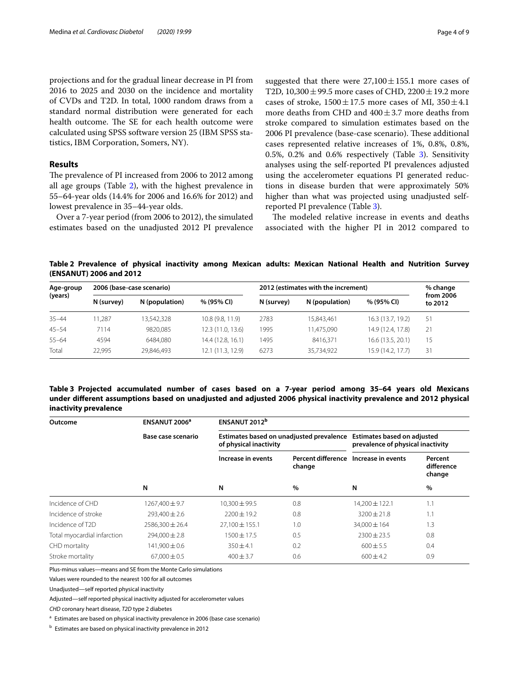projections and for the gradual linear decrease in PI from 2016 to 2025 and 2030 on the incidence and mortality of CVDs and T2D. In total, 1000 random draws from a standard normal distribution were generated for each health outcome. The SE for each health outcome were calculated using SPSS software version 25 (IBM SPSS statistics, IBM Corporation, Somers, NY).

# **Results**

The prevalence of PI increased from 2006 to 2012 among all age groups (Table [2](#page-3-0)), with the highest prevalence in 55–64-year olds (14.4% for 2006 and 16.6% for 2012) and lowest prevalence in 35–44-year olds.

Over a 7-year period (from 2006 to 2012), the simulated estimates based on the unadjusted 2012 PI prevalence

suggested that there were  $27,100 \pm 155.1$  more cases of T2D,  $10,300 \pm 99.5$  more cases of CHD,  $2200 \pm 19.2$  more cases of stroke,  $1500 \pm 17.5$  more cases of MI,  $350 \pm 4.1$ more deaths from CHD and  $400 \pm 3.7$  more deaths from stroke compared to simulation estimates based on the 2006 PI prevalence (base-case scenario). These additional cases represented relative increases of 1%, 0.8%, 0.8%, 0.5%, 0.2% and 0.6% respectively (Table [3](#page-3-1)). Sensitivity analyses using the self-reported PI prevalences adjusted using the accelerometer equations PI generated reductions in disease burden that were approximately 50% higher than what was projected using unadjusted selfreported PI prevalence (Table [3\)](#page-3-1).

The modeled relative increase in events and deaths associated with the higher PI in 2012 compared to

<span id="page-3-0"></span>**Table 2 Prevalence of physical inactivity among Mexican adults: Mexican National Health and Nutrition Survey (ENSANUT) 2006 and 2012**

| Age-group<br>(years) | 2006 (base-case scenario) |                |                   | 2012 (estimates with the increment) |                |                   | % change             |
|----------------------|---------------------------|----------------|-------------------|-------------------------------------|----------------|-------------------|----------------------|
|                      | N (survey)                | N (population) | % (95% CI)        | N (survey)                          | N (population) | % (95% CI)        | from 2006<br>to 2012 |
| $35 - 44$            | 1.287                     | 13,542,328     | 10.8 (9.8, 11.9)  | 2783                                | 15,843,461     | 16.3 (13.7, 19.2) | 51                   |
| $45 - 54$            | 7114                      | 9820.085       | 12.3 (11.0, 13.6) | 1995                                | 11,475,090     | 14.9 (12.4, 17.8) | 21                   |
| $55 - 64$            | 4594                      | 6484.080       | 14.4 (12.8, 16.1) | 1495                                | 8416.371       | 16.6 (13.5, 20.1) | 15                   |
| Total                | 22.995                    | 29,846,493     | 12.1 (11.3, 12.9) | 6273                                | 35,734,922     | 15.9 (14.2, 17.7) | 31                   |

# <span id="page-3-1"></span>**Table 3 Projected accumulated number of cases based on a 7-year period among 35–64 years old Mexicans under diferent assumptions based on unadjusted and adjusted 2006 physical inactivity prevalence and 2012 physical inactivity prevalence**

| Outcome                       | ENSANUT 2006 <sup>a</sup> | ENSANUT 2012 <sup>b</sup> |                                          |                                                                         |                                         |  |  |
|-------------------------------|---------------------------|---------------------------|------------------------------------------|-------------------------------------------------------------------------|-----------------------------------------|--|--|
|                               | Base case scenario        | of physical inactivity    | Estimates based on unadjusted prevalence | <b>Estimates based on adjusted</b><br>prevalence of physical inactivity |                                         |  |  |
|                               |                           | Increase in events<br>N   | Percent difference<br>change<br>$\%$     | Increase in events<br>N                                                 | Percent<br>difference<br>change<br>$\%$ |  |  |
|                               | N                         |                           |                                          |                                                                         |                                         |  |  |
| Incidence of CHD              | 1267,400 ± 9.7            | 10,300 ± 99.5             | 0.8                                      | 14,200 ± 122.1                                                          | 1.1                                     |  |  |
| Incidence of stroke           | $293.400 \pm 2.6$         | $7200 \pm 19.2$           | 0.8                                      | $3200 + 21.8$                                                           | 1.1                                     |  |  |
| Incidence of T <sub>2</sub> D | $2586.300 \pm 26.4$       | $27.100 \pm 155.1$        | 1.0                                      | $34.000 \pm 164$                                                        | 1.3                                     |  |  |
| Total myocardial infarction   | $294,000 \pm 2.8$         | $1500 \pm 17.5$           | 0.5                                      | $2300 \pm 23.5$                                                         | 0.8                                     |  |  |
| CHD mortality                 | $141.900 \pm 0.6$         | $350 + 4.1$               | 0.2                                      | $600 + 5.5$                                                             | 0.4                                     |  |  |
| Stroke mortality              | $67.000 \pm 0.5$          | $400 \pm 3.7$             | 0.6                                      | $600 \pm 4.2$                                                           | 0.9                                     |  |  |

Plus-minus values—means and SE from the Monte Carlo simulations

Values were rounded to the nearest 100 for all outcomes

Unadjusted—self reported physical inactivity

Adjusted—self reported physical inactivity adjusted for accelerometer values

*CHD* coronary heart disease, *T2D* type 2 diabetes

<sup>a</sup> Estimates are based on physical inactivity prevalence in 2006 (base case scenario)

<sup>b</sup> Estimates are based on physical inactivity prevalence in 2012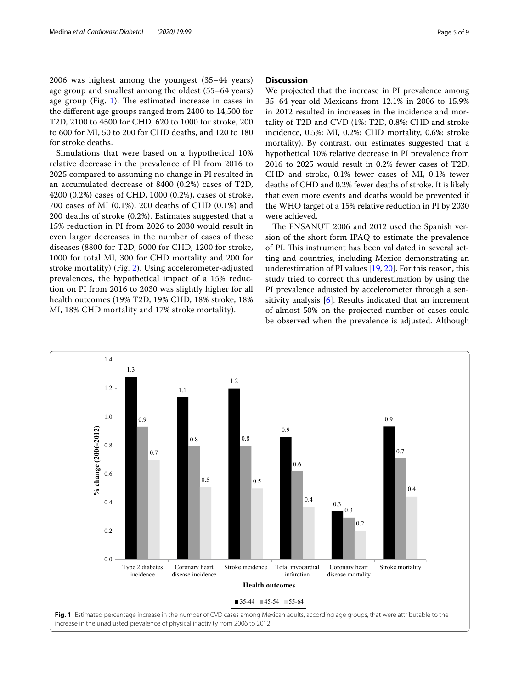2006 was highest among the youngest (35–44 years) age group and smallest among the oldest (55–64 years) age group (Fig.  $1$ ). The estimated increase in cases in the diferent age groups ranged from 2400 to 14,500 for T2D, 2100 to 4500 for CHD, 620 to 1000 for stroke, 200 to 600 for MI, 50 to 200 for CHD deaths, and 120 to 180 for stroke deaths.

Simulations that were based on a hypothetical 10% relative decrease in the prevalence of PI from 2016 to 2025 compared to assuming no change in PI resulted in an accumulated decrease of 8400 (0.2%) cases of T2D, 4200 (0.2%) cases of CHD, 1000 (0.2%), cases of stroke, 700 cases of MI (0.1%), 200 deaths of CHD (0.1%) and 200 deaths of stroke (0.2%). Estimates suggested that a 15% reduction in PI from 2026 to 2030 would result in even larger decreases in the number of cases of these diseases (8800 for T2D, 5000 for CHD, 1200 for stroke, 1000 for total MI, 300 for CHD mortality and 200 for stroke mortality) (Fig. [2\)](#page-5-0). Using accelerometer-adjusted prevalences, the hypothetical impact of a 15% reduction on PI from 2016 to 2030 was slightly higher for all health outcomes (19% T2D, 19% CHD, 18% stroke, 18% MI, 18% CHD mortality and 17% stroke mortality).

# **Discussion**

We projected that the increase in PI prevalence among 35–64-year-old Mexicans from 12.1% in 2006 to 15.9% in 2012 resulted in increases in the incidence and mortality of T2D and CVD (1%: T2D, 0.8%: CHD and stroke incidence, 0.5%: MI, 0.2%: CHD mortality, 0.6%: stroke mortality). By contrast, our estimates suggested that a hypothetical 10% relative decrease in PI prevalence from 2016 to 2025 would result in 0.2% fewer cases of T2D, CHD and stroke, 0.1% fewer cases of MI, 0.1% fewer deaths of CHD and 0.2% fewer deaths of stroke. It is likely that even more events and deaths would be prevented if the WHO target of a 15% relative reduction in PI by 2030 were achieved.

The ENSANUT 2006 and 2012 used the Spanish version of the short form IPAQ to estimate the prevalence of PI. This instrument has been validated in several setting and countries, including Mexico demonstrating an underestimation of PI values [[19](#page-7-27), [20\]](#page-7-28). For this reason, this study tried to correct this underestimation by using the PI prevalence adjusted by accelerometer through a sensitivity analysis [\[6](#page-7-5)]. Results indicated that an increment of almost 50% on the projected number of cases could be observed when the prevalence is adjusted. Although

<span id="page-4-0"></span>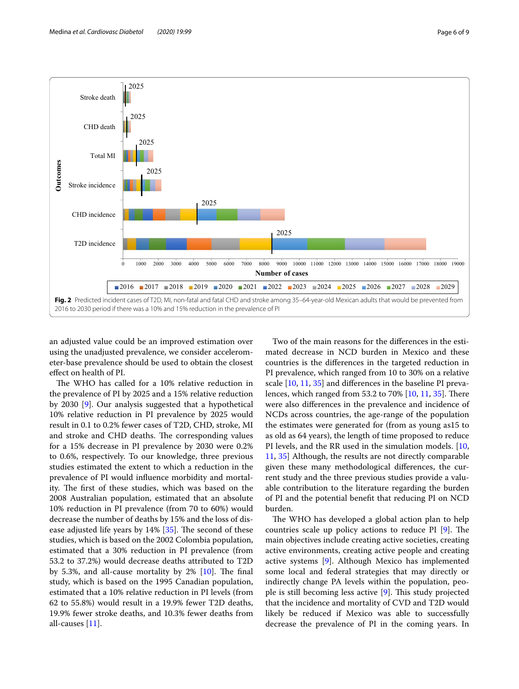

<span id="page-5-0"></span>an adjusted value could be an improved estimation over using the unadjusted prevalence, we consider accelerometer-base prevalence should be used to obtain the closest efect on health of PI.

The WHO has called for a 10% relative reduction in the prevalence of PI by 2025 and a 15% relative reduction by 2030 [[9\]](#page-7-8). Our analysis suggested that a hypothetical 10% relative reduction in PI prevalence by 2025 would result in 0.1 to 0.2% fewer cases of T2D, CHD, stroke, MI and stroke and CHD deaths. The corresponding values for a 15% decrease in PI prevalence by 2030 were 0.2% to 0.6%, respectively. To our knowledge, three previous studies estimated the extent to which a reduction in the prevalence of PI would infuence morbidity and mortality. The first of these studies, which was based on the 2008 Australian population, estimated that an absolute 10% reduction in PI prevalence (from 70 to 60%) would decrease the number of deaths by 15% and the loss of disease adjusted life years by  $14\%$  [ $35$ ]. The second of these studies, which is based on the 2002 Colombia population, estimated that a 30% reduction in PI prevalence (from 53.2 to 37.2%) would decrease deaths attributed to T2D by 5.3%, and all-cause mortality by  $2\%$  [[10\]](#page-7-9). The final study, which is based on the 1995 Canadian population, estimated that a 10% relative reduction in PI levels (from 62 to 55.8%) would result in a 19.9% fewer T2D deaths, 19.9% fewer stroke deaths, and 10.3% fewer deaths from all-causes [[11\]](#page-7-10).

Two of the main reasons for the diferences in the estimated decrease in NCD burden in Mexico and these countries is the diferences in the targeted reduction in PI prevalence, which ranged from 10 to 30% on a relative scale [\[10](#page-7-9), [11,](#page-7-10) [35](#page-8-1)] and diferences in the baseline PI prevalences, which ranged from 53.2 to  $70\%$  [\[10,](#page-7-9) [11,](#page-7-10) [35](#page-8-1)]. There were also diferences in the prevalence and incidence of NCDs across countries, the age-range of the population the estimates were generated for (from as young as15 to as old as 64 years), the length of time proposed to reduce PI levels, and the RR used in the simulation models. [[10](#page-7-9), [11,](#page-7-10) [35](#page-8-1)] Although, the results are not directly comparable given these many methodological diferences, the current study and the three previous studies provide a valuable contribution to the literature regarding the burden of PI and the potential beneft that reducing PI on NCD burden.

The WHO has developed a global action plan to help countries scale up policy actions to reduce PI  $[9]$  $[9]$ . The main objectives include creating active societies, creating active environments, creating active people and creating active systems [[9\]](#page-7-8). Although Mexico has implemented some local and federal strategies that may directly or indirectly change PA levels within the population, people is still becoming less active  $[9]$  $[9]$ . This study projected that the incidence and mortality of CVD and T2D would likely be reduced if Mexico was able to successfully decrease the prevalence of PI in the coming years. In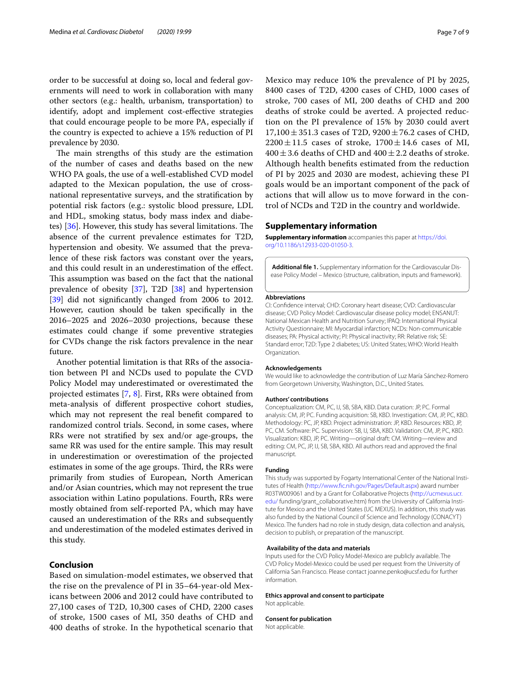order to be successful at doing so, local and federal governments will need to work in collaboration with many other sectors (e.g.: health, urbanism, transportation) to identify, adopt and implement cost-efective strategies that could encourage people to be more PA, especially if the country is expected to achieve a 15% reduction of PI prevalence by 2030.

The main strengths of this study are the estimation of the number of cases and deaths based on the new WHO PA goals, the use of a well-established CVD model adapted to the Mexican population, the use of crossnational representative surveys, and the stratifcation by potential risk factors (e.g.: systolic blood pressure, LDL and HDL, smoking status, body mass index and diabetes)  $[36]$  $[36]$ . However, this study has several limitations. The absence of the current prevalence estimates for T2D, hypertension and obesity. We assumed that the prevalence of these risk factors was constant over the years, and this could result in an underestimation of the efect. This assumption was based on the fact that the national prevalence of obesity [\[37\]](#page-8-3), T2D [[38\]](#page-8-4) and hypertension [[39\]](#page-8-5) did not significantly changed from 2006 to 2012. However, caution should be taken specifcally in the 2016–2025 and 2026–2030 projections, because these estimates could change if some preventive strategies for CVDs change the risk factors prevalence in the near future.

Another potential limitation is that RRs of the association between PI and NCDs used to populate the CVD Policy Model may underestimated or overestimated the projected estimates [[7,](#page-7-6) [8\]](#page-7-7). First, RRs were obtained from meta-analysis of diferent prospective cohort studies, which may not represent the real beneft compared to randomized control trials. Second, in some cases, where RRs were not stratifed by sex and/or age-groups, the same RR was used for the entire sample. This may result in underestimation or overestimation of the projected estimates in some of the age groups. Third, the RRs were primarily from studies of European, North American and/or Asian countries, which may not represent the true association within Latino populations. Fourth, RRs were mostly obtained from self-reported PA, which may have caused an underestimation of the RRs and subsequently and underestimation of the modeled estimates derived in this study.

# **Conclusion**

Based on simulation-model estimates, we observed that the rise on the prevalence of PI in 35–64-year-old Mexicans between 2006 and 2012 could have contributed to 27,100 cases of T2D, 10,300 cases of CHD, 2200 cases of stroke, 1500 cases of MI, 350 deaths of CHD and 400 deaths of stroke. In the hypothetical scenario that Mexico may reduce 10% the prevalence of PI by 2025, 8400 cases of T2D, 4200 cases of CHD, 1000 cases of stroke, 700 cases of MI, 200 deaths of CHD and 200 deaths of stroke could be averted. A projected reduction on the PI prevalence of 15% by 2030 could avert  $17,100 \pm 351.3$  cases of T2D,  $9200 \pm 76.2$  cases of CHD,  $2200 \pm 11.5$  cases of stroke,  $1700 \pm 14.6$  cases of MI,  $400 \pm 3.6$  deaths of CHD and  $400 \pm 2.2$  deaths of stroke. Although health benefts estimated from the reduction of PI by 2025 and 2030 are modest, achieving these PI goals would be an important component of the pack of actions that will allow us to move forward in the control of NCDs and T2D in the country and worldwide.

# **Supplementary information**

**Supplementary information** accompanies this paper at [https://doi.](https://doi.org/10.1186/s12933-020-01050-3) [org/10.1186/s12933-020-01050-3](https://doi.org/10.1186/s12933-020-01050-3).

<span id="page-6-0"></span>Additional file 1. Supplementary information for the Cardiovascular Disease Policy Model – Mexico (structure, calibration, inputs and framework).

#### **Abbreviations**

CI: Confdence interval; CHD: Coronary heart disease; CVD: Cardiovascular disease; CVD Policy Model: Cardiovascular disease policy model; ENSANUT: National Mexican Health and Nutrition Survey; IPAQ: International Physical Activity Questionnaire; MI: Myocardial infarction; NCDs: Non-communicable diseases; PA: Physical activity; PI: Physical inactivity; RR: Relative risk; SE: Standard error; T2D: Type 2 diabetes; US: United States; WHO: World Health Organization.

#### **Acknowledgements**

We would like to acknowledge the contribution of Luz María Sánchez-Romero from Georgetown University, Washington, D.C., United States.

#### **Authors' contributions**

Conceptualization: CM, PC, IJ, SB, SBA, KBD. Data curation: JP, PC. Formal analysis: CM, JP, PC. Funding acquisition: SB, KBD. Investigation: CM, JP, PC, KBD. Methodology: PC, JP, KBD. Project administration: JP, KBD. Resources: KBD, JP, PC, CM. Software: PC. Supervision: SB, IJ, SBA, KBD. Validation: CM, JP, PC, KBD. Visualization: KBD, JP, PC. Writing—original draft: CM. Writing—review and editing: CM, PC, JP, IJ, SB, SBA, KBD. All authors read and approved the fnal manuscript.

# **Funding**

This study was supported by Fogarty International Center of the National Institutes of Health [\(http://www.fc.nih.gov/Pages/Default.aspx\)](http://www.fic.nih.gov/Pages/Default.aspx) award number R03TW009061 and by a Grant for Collaborative Projects ([http://ucmexus.ucr.](http://ucmexus.ucr.edu/) [edu/](http://ucmexus.ucr.edu/) funding/grant\_collaborative.htm) from the University of California Institute for Mexico and the United States (UC MEXUS). In addition, this study was also funded by the National Council of Science and Technology (CONACYT) Mexico. The funders had no role in study design, data collection and analysis, decision to publish, or preparation of the manuscript.

# **Availability of the data and materials**

Inputs used for the CVD Policy Model-Mexico are publicly available. The CVD Policy Model-Mexico could be used per request from the University of California San Francisco. Please contact joanne.penko@ucsf.edu for further information.

# **Ethics approval and consent to participate**

Not applicable.

#### **Consent for publication**

Not applicable.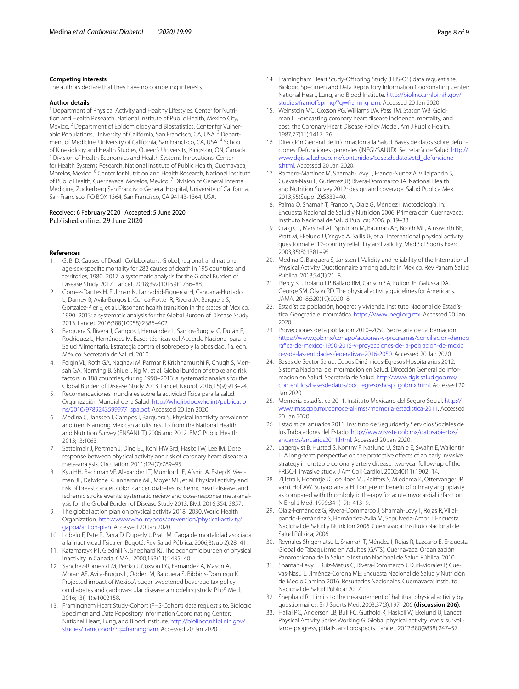### **Competing interests**

The authors declare that they have no competing interests.

#### **Author details**

<sup>1</sup> Department of Physical Activity and Healthy Lifestyles, Center for Nutrition and Health Research, National Institute of Public Health, Mexico City, Mexico.<sup>2</sup> Department of Epidemiology and Biostatistics, Center for Vulnerable Populations, University of California, San Francisco, CA, USA.<sup>3</sup> Department of Medicine, University of California, San Francisco, CA, USA. 4 School of Kinesiology and Health Studies, Queen's University, Kingston, ON, Canada.<br><sup>5</sup> Division of Health Economics and Health Systems Innovations, Center for Health Systems Research, National Institute of Public Health, Cuernavaca, Morelos, Mexico. <sup>6</sup> Center for Nutrition and Health Research, National Institute of Public Health, Cuernavaca, Morelos, Mexico. <sup>7</sup> Division of General Internal Medicine, Zuckerberg San Francisco General Hospital, University of California, San Francisco, PO BOX 1364, San Francisco, CA 94143-1364, USA.

# Received: 6 February 2020 Accepted: 5 June 2020 Published online: 29 June 2020

### **References**

- <span id="page-7-0"></span>1. G. B. D. Causes of Death Collaborators. Global, regional, and national age-sex-specifc mortality for 282 causes of death in 195 countries and territories, 1980–2017: a systematic analysis for the Global Burden of Disease Study 2017. Lancet. 2018;392(10159):1736–88.
- <span id="page-7-1"></span>2. Gomez-Dantes H, Fullman N, Lamadrid-Figueroa H, Cahuana-Hurtado L, Darney B, Avila-Burgos L, Correa-Rotter R, Rivera JA, Barquera S, Gonzalez-Pier E, et al. Dissonant health transition in the states of Mexico, 1990–2013: a systematic analysis for the Global Burden of Disease Study 2013. Lancet. 2016;388(10058):2386–402.
- <span id="page-7-2"></span>3. Barquera S, Rivera J, Campos I, Hernández L, Santos-Burgoa C, Durán E, Rodríguez L, Hernández M. Bases técnicas del Acuerdo Nacional para la Salud Alimentaria. Estrategia contra el sobrepeso y la obesidad, 1a. edn. México: Secretaría de Salud; 2010.
- <span id="page-7-3"></span>4. Feigin VL, Roth GA, Naghavi M, Parmar P, Krishnamurthi R, Chugh S, Mensah GA, Norrving B, Shiue I, Ng M, et al. Global burden of stroke and risk factors in 188 countries, during 1990–2013: a systematic analysis for the Global Burden of Disease Study 2013. Lancet Neurol. 2016;15(9):913–24.
- <span id="page-7-4"></span>5. Recomendaciones mundiales sobre la actividad física para la salud. Organización Mundial de la Salud. [http://whqlibdoc.who.int/publicatio](http://whqlibdoc.who.int/publications/2010/9789243599977_spa.pdf) [ns/2010/9789243599977\\_spa.pdf](http://whqlibdoc.who.int/publications/2010/9789243599977_spa.pdf). Accessed 20 Jan 2020.
- <span id="page-7-5"></span>6. Medina C, Janssen I, Campos I, Barquera S. Physical inactivity prevalence and trends among Mexican adults: results from the National Health and Nutrition Survey (ENSANUT) 2006 and 2012. BMC Public Health. 2013;13:1063.
- <span id="page-7-6"></span>7. Sattelmair J, Pertman J, Ding EL, Kohl HW 3rd, Haskell W, Lee IM. Dose response between physical activity and risk of coronary heart disease: a meta-analysis. Circulation. 2011;124(7):789–95.
- <span id="page-7-7"></span>8. Kyu HH, Bachman VF, Alexander LT, Mumford JE, Afshin A, Estep K, Veerman JL, Delwiche K, Iannarone ML, Moyer ML, et al. Physical activity and risk of breast cancer, colon cancer, diabetes, ischemic heart disease, and ischemic stroke events: systematic review and dose-response meta-analysis for the Global Burden of Disease Study 2013. BMJ. 2016;354:i3857.
- <span id="page-7-8"></span>9. The global action plan on physical activity 2018–2030. World Health Organization. [http://www.who.int/ncds/prevention/physical-activity/](http://www.who.int/ncds/prevention/physical-activity/gappa/action-plan) [gappa/action-plan.](http://www.who.int/ncds/prevention/physical-activity/gappa/action-plan) Accessed 20 Jan 2020.
- <span id="page-7-9"></span>10. Lobelo F, Pate R, Parra D, Duperly J, Pratt M. Carga de mortalidad asociada a la inactividad física en Bogotá. Rev Salud Pública. 2006;8(sup 2):28–41.
- <span id="page-7-10"></span>11. Katzmarzyk PT, Gledhill N, Shephard RJ. The economic burden of physical inactivity in Canada. CMAJ. 2000;163(11):1435–40.
- <span id="page-7-11"></span>12. Sanchez-Romero LM, Penko J, Coxson PG, Fernandez A, Mason A, Moran AE, Avila-Burgos L, Odden M, Barquera S, Bibbins-Domingo K. Projected impact of Mexico's sugar-sweetened beverage tax policy on diabetes and cardiovascular disease: a modeling study. PLoS Med. 2016;13(11):e1002158.
- <span id="page-7-12"></span>13. Framingham Heart Study-Cohort (FHS-Cohort) data request site. Biologic Specimen and Data Repository Information Coordinating Center: National Heart, Lung, and Blood Institute. [http://biolincc.nhlbi.nih.gov/](http://biolincc.nhlbi.nih.gov/studies/framcohort/?q=framingham) [studies/framcohort/?q](http://biolincc.nhlbi.nih.gov/studies/framcohort/?q=framingham)=framingham. Accessed 20 Jan 2020.
- <span id="page-7-13"></span>14. Framingham Heart Study-Ofspring Study (FHS-OS) data request site. Biologic Specimen and Data Repository Information Coordinating Center: National Heart, Lung, and Blood Institute. [http://biolincc.nhlbi.nih.gov/](http://biolincc.nhlbi.nih.gov/studies/framoffspring/?q=framingham) [studies/framofspring/?q](http://biolincc.nhlbi.nih.gov/studies/framoffspring/?q=framingham)=framingham. Accessed 20 Jan 2020.
- <span id="page-7-14"></span>15. Weinstein MC, Coxson PG, Williams LW, Pass TM, Stason WB, Goldman L. Forecasting coronary heart disease incidence, mortality, and cost: the Coronary Heart Disease Policy Model. Am J Public Health. 1987;77(11):1417–26.
- <span id="page-7-15"></span>16. Dirección General de Información a la Salud. Bases de datos sobre defunciones. Defunciones generales (INEGI/SALUD). Secretaría de Salud. [http://](http://www.dgis.salud.gob.mx/contenidos/basesdedatos/std_defunciones.html) [www.dgis.salud.gob.mx/contenidos/basesdedatos/std\\_defuncione](http://www.dgis.salud.gob.mx/contenidos/basesdedatos/std_defunciones.html) [s.html.](http://www.dgis.salud.gob.mx/contenidos/basesdedatos/std_defunciones.html) Accessed 20 Jan 2020.
- <span id="page-7-16"></span>17. Romero-Martinez M, Shamah-Levy T, Franco-Nunez A, Villalpando S, Cuevas-Nasu L, Gutierrez JP, Rivera-Dommarco JA. National Health and Nutrition Survey 2012: design and coverage. Salud Publica Mex. 2013;55(Suppl 2):S332–40.
- <span id="page-7-17"></span>18. Palma O, Shamah T, Franco A, Olaiz G, Méndez I. Metodología. In: Encuesta Nacional de Salud y Nutrición 2006. Primera edn. Cuernavaca: Instituto Nacional de Salud Pública; 2006. p. 19–33.
- <span id="page-7-27"></span>19. Craig CL, Marshall AL, Sjostrom M, Bauman AE, Booth ML, Ainsworth BE, Pratt M, Ekelund U, Yngve A, Sallis JF, et al. International physical activity questionnaire: 12-country reliability and validity. Med Sci Sports Exerc. 2003;35(8):1381–95.
- <span id="page-7-28"></span>20. Medina C, Barquera S, Janssen I. Validity and reliability of the International Physical Activity Questionnaire among adults in Mexico. Rev Panam Salud Publica. 2013;34(1):21–8.
- <span id="page-7-29"></span>21. Piercy KL, Troiano RP, Ballard RM, Carlson SA, Fulton JE, Galuska DA, George SM, Olson RD. The physical activity guidelines for Americans. JAMA. 2018;320(19):2020–8.
- <span id="page-7-18"></span>22. Estadística población, hogares y vivienda. Instituto Nacional de Estadística, Geografía e Informática. [https://www.inegi.org.mx.](https://www.inegi.org.mx) Accessed 20 Jan 2020.
- <span id="page-7-19"></span>23. Proyecciones de la población 2010–2050. Secretaría de Gobernación. [https://www.gob.mx/conapo/acciones-y-programas/conciliacion-demog](https://www.gob.mx/conapo/acciones-y-programas/conciliacion-demografica-de-mexico-1950-2015-y-proyecciones-de-la-poblacion-de-mexico-y-de-las-entidades-federativas-2016-2050) [rafca-de-mexico-1950-2015-y-proyecciones-de-la-poblacion-de-mexic](https://www.gob.mx/conapo/acciones-y-programas/conciliacion-demografica-de-mexico-1950-2015-y-proyecciones-de-la-poblacion-de-mexico-y-de-las-entidades-federativas-2016-2050) [o-y-de-las-entidades-federativas-2016-2050.](https://www.gob.mx/conapo/acciones-y-programas/conciliacion-demografica-de-mexico-1950-2015-y-proyecciones-de-la-poblacion-de-mexico-y-de-las-entidades-federativas-2016-2050) Accessed 20 Jan 2020.
- <span id="page-7-20"></span>24. Bases de Sector Salud. Cubos Dinámicos-Egresos Hospitalarios 2012. Sistema Nacional de Información en Salud. Dirección General de Información en Salud. Secretaría de Salud. [http://www.dgis.salud.gob.mx/](http://www.dgis.salud.gob.mx/contenidos/basesdedatos/bdc_egresoshosp_gobmx.html) [contenidos/basesdedatos/bdc\\_egresoshosp\\_gobmx.html.](http://www.dgis.salud.gob.mx/contenidos/basesdedatos/bdc_egresoshosp_gobmx.html) Accessed 20 Jan 2020.
- <span id="page-7-21"></span>25. Memoria estadística 2011. Instituto Mexicano del Seguro Social. [http://](http://www.imss.gob.mx/conoce-al-imss/memoria-estadistica-2011) [www.imss.gob.mx/conoce-al-imss/memoria-estadistica-2011.](http://www.imss.gob.mx/conoce-al-imss/memoria-estadistica-2011) Accessed 20 Jan 2020.
- <span id="page-7-22"></span>26. Estadística: anuarios 2011. Instituto de Seguridad y Servicios Sociales de los Trabajadores del Estado. [http://www.issste.gob.mx/datosabiertos/](http://www.issste.gob.mx/datosabiertos/anuarios/anuarios2011.html) [anuarios/anuarios2011.html](http://www.issste.gob.mx/datosabiertos/anuarios/anuarios2011.html). Accessed 20 Jan 2020.
- <span id="page-7-23"></span>27. Lagerqvist B, Husted S, Kontny F, Naslund U, Stahle E, Swahn E, Wallentin L. A long-term perspective on the protective efects of an early invasive strategy in unstable coronary artery disease: two-year follow-up of the FRISC-II invasive study. J Am Coll Cardiol. 2002;40(11):1902–14.
- <span id="page-7-24"></span>28. Zijlstra F, Hoorntje JC, de Boer MJ, Reifers S, Miedema K, Ottervanger JP, van't Hof AW, Suryapranata H. Long-term beneft of primary angioplasty as compared with thrombolytic therapy for acute myocardial infarction. N Engl J Med. 1999;341(19):1413–9.
- <span id="page-7-25"></span>29. Olaiz-Fernández G, Rivera-Dommarco J, Shamah-Levy T, Rojas R, Villalpando-Hernández S, Hernández-Avila M, Sepúlveda-Amor J. Encuesta Nacional de Salud y Nutrición 2006. Cuernavaca: Instituto Nacional de Salud Pública; 2006.
- <span id="page-7-26"></span>30. Reynales Shigematsu L, Shamah T, Méndez I, Rojas R, Lazcano E. Encuesta Global de Tabaquismo en Adultos (GATS). Cuernavaca: Organización Panamericana de la Salud e Instiuto Nacional de Salud Pública; 2010.
- <span id="page-7-30"></span>31. Shamah-Levy T, Ruiz-Matus C, Rivera-Dommarco J, Kuri-Morales P, Cuevas-Nasu L, Jiménez-Corona ME: Encuesta Nacional de Salud y Nutrición de Medio Camino 2016. Resultados Nacionales. Cuernavaca: Instituto Nacional de Salud Pública; 2017.
- <span id="page-7-31"></span>32. Shephard RJ. Limits to the measurement of habitual physical activity by questionnaires. Br J Sports Med. 2003;37(3):197–206 **(discussion 206)**.
- <span id="page-7-32"></span>33. Hallal PC, Andersen LB, Bull FC, Guthold R, Haskell W, Ekelund U, Lancet Physical Activity Series Working G. Global physical activity levels: surveillance progress, pitfalls, and prospects. Lancet. 2012;380(9838):247–57.